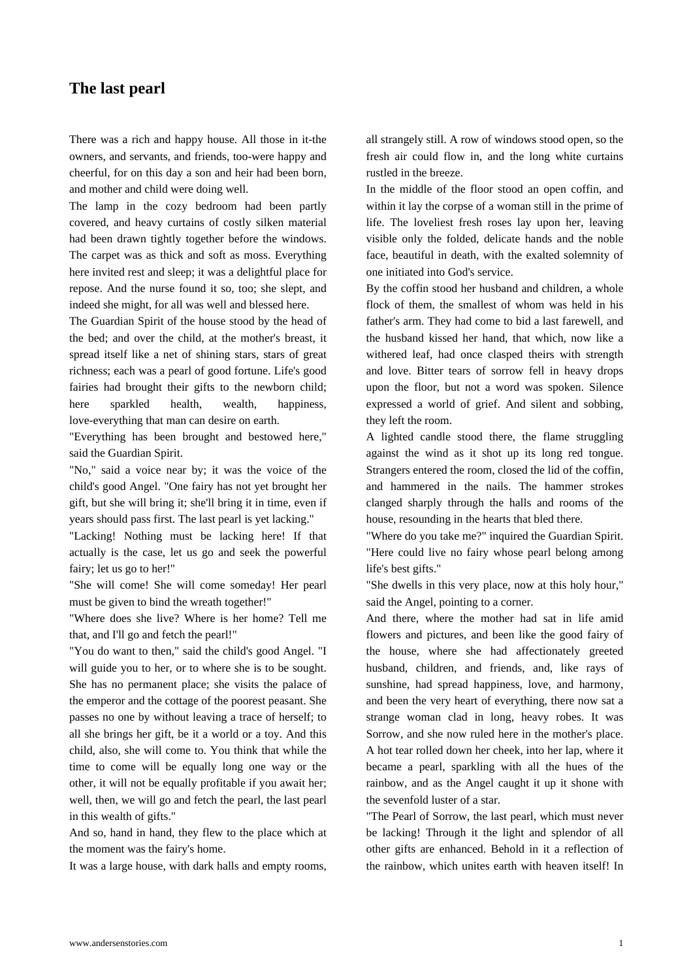## **The last pearl**

[There was a rich and](https://www.andersenstories.com/en/andersen_fairy-tales/the_last_pearl) happy house. All those in it-the owners, and servants, and friends, too-were happy and cheerful, for on this day a son and heir had been born, and mother and child were doing well.

The lamp in the cozy bedroom had been partly covered, and heavy curtains of costly silken material had been drawn tightly together before the windows. The carpet was as thick and soft as moss. Everything here invited rest and sleep; it was a delightful place for repose. And the nurse found it so, too; she slept, and indeed she might, for all was well and blessed here.

The Guardian Spirit of the house stood by the head of the bed; and over the child, at the mother's breast, it spread itself like a net of shining stars, stars of great richness; each was a pearl of good fortune. Life's good fairies had brought their gifts to the newborn child; here sparkled health, wealth, happiness, love-everything that man can desire on earth.

"Everything has been brought and bestowed here," said the Guardian Spirit.

"No," said a voice near by; it was the voice of the child's good Angel. "One fairy has not yet brought her gift, but she will bring it; she'll bring it in time, even if years should pass first. The last pearl is yet lacking."

"Lacking! Nothing must be lacking here! If that actually is the case, let us go and seek the powerful fairy; let us go to her!"

"She will come! She will come someday! Her pearl must be given to bind the wreath together!"

"Where does she live? Where is her home? Tell me that, and I'll go and fetch the pearl!"

"You do want to then," said the child's good Angel. "I will guide you to her, or to where she is to be sought. She has no permanent place; she visits the palace of the emperor and the cottage of the poorest peasant. She passes no one by without leaving a trace of herself; to all she brings her gift, be it a world or a toy. And this child, also, she will come to. You think that while the time to come will be equally long one way or the other, it will not be equally profitable if you await her; well, then, we will go and fetch the pearl, the last pearl in this wealth of gifts."

And so, hand in hand, they flew to the place which at the moment was the fairy's home.

It was a large house, with dark halls and empty rooms,

all strangely still. A row of windows stood open, so the fresh air could flow in, and the long white curtains rustled in the breeze.

In the middle of the floor stood an open coffin, and within it lay the corpse of a woman still in the prime of life. The loveliest fresh roses lay upon her, leaving visible only the folded, delicate hands and the noble face, beautiful in death, with the exalted solemnity of one initiated into God's service.

By the coffin stood her husband and children, a whole flock of them, the smallest of whom was held in his father's arm. They had come to bid a last farewell, and the husband kissed her hand, that which, now like a withered leaf, had once clasped theirs with strength and love. Bitter tears of sorrow fell in heavy drops upon the floor, but not a word was spoken. Silence expressed a world of grief. And silent and sobbing, they left the room.

A lighted candle stood there, the flame struggling against the wind as it shot up its long red tongue. Strangers entered the room, closed the lid of the coffin, and hammered in the nails. The hammer strokes clanged sharply through the halls and rooms of the house, resounding in the hearts that bled there.

"Where do you take me?" inquired the Guardian Spirit. "Here could live no fairy whose pearl belong among life's best gifts."

"She dwells in this very place, now at this holy hour," said the Angel, pointing to a corner.

And there, where the mother had sat in life amid flowers and pictures, and been like the good fairy of the house, where she had affectionately greeted husband, children, and friends, and, like rays of sunshine, had spread happiness, love, and harmony, and been the very heart of everything, there now sat a strange woman clad in long, heavy robes. It was Sorrow, and she now ruled here in the mother's place. A hot tear rolled down her cheek, into her lap, where it became a pearl, sparkling with all the hues of the rainbow, and as the Angel caught it up it shone with the sevenfold luster of a star.

"The Pearl of Sorrow, the last pearl, which must never be lacking! Through it the light and splendor of all other gifts are enhanced. Behold in it a reflection of the rainbow, which unites earth with heaven itself! In